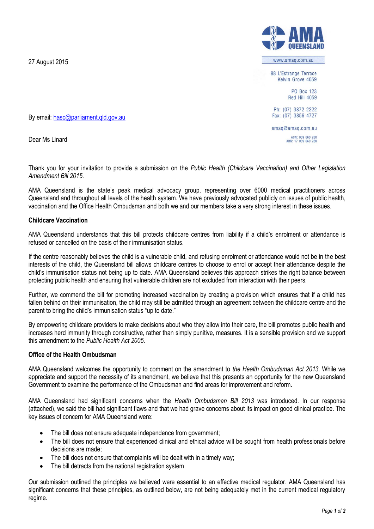27 August 2015

www.amag.com.au

88 L'Estrange Terrace Kelvin Grove 4059

> **PO Box 123 Red Hill 4059**

Ph: (07) 3872 2222 Fax: (07) 3856 4727

amag@amag.com.au ACN: 009 660 280<br>ABN: 17 009 660 280

By email: [hasc@parliament.qld.gov.au](mailto:hasc@parliament.qld.gov.au)

Dear Ms Linard

Thank you for your invitation to provide a submission on the *Public Health (Childcare Vaccination) and Other Legislation Amendment Bill 2015*.

AMA Queensland is the state's peak medical advocacy group, representing over 6000 medical practitioners across Queensland and throughout all levels of the health system. We have previously advocated publicly on issues of public health, vaccination and the Office Health Ombudsman and both we and our members take a very strong interest in these issues.

#### **Childcare Vaccination**

AMA Queensland understands that this bill protects childcare centres from liability if a child's enrolment or attendance is refused or cancelled on the basis of their immunisation status.

If the centre reasonably believes the child is a vulnerable child, and refusing enrolment or attendance would not be in the best interests of the child, the Queensland bill allows childcare centres to choose to enrol or accept their attendance despite the child's immunisation status not being up to date. AMA Queensland believes this approach strikes the right balance between protecting public health and ensuring that vulnerable children are not excluded from interaction with their peers.

Further, we commend the bill for promoting increased vaccination by creating a provision which ensures that if a child has fallen behind on their immunisation, the child may still be admitted through an agreement between the childcare centre and the parent to bring the child's immunisation status "up to date."

By empowering childcare providers to make decisions about who they allow into their care, the bill promotes public health and increases herd immunity through constructive, rather than simply punitive, measures. It is a sensible provision and we support this amendment to the *Public Health Act 2005*.

#### **Office of the Health Ombudsman**

AMA Queensland welcomes the opportunity to comment on the amendment to *the Health Ombudsman Act 2013*. While we appreciate and support the necessity of its amendment, we believe that this presents an opportunity for the new Queensland Government to examine the performance of the Ombudsman and find areas for improvement and reform.

AMA Queensland had significant concerns when the *Health Ombudsman Bill 2013* was introduced. In our response (attached), we said the bill had significant flaws and that we had grave concerns about its impact on good clinical practice. The key issues of concern for AMA Queensland were:

- The bill does not ensure adequate independence from government;
- The bill does not ensure that experienced clinical and ethical advice will be sought from health professionals before decisions are made;
- The bill does not ensure that complaints will be dealt with in a timely way;
- The bill detracts from the national registration system

Our submission outlined the principles we believed were essential to an effective medical regulator. AMA Queensland has significant concerns that these principles, as outlined below, are not being adequately met in the current medical regulatory regime.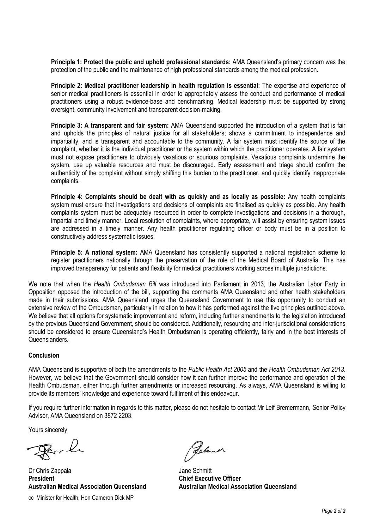**Principle 1: Protect the public and uphold professional standards:** AMA Queensland's primary concern was the protection of the public and the maintenance of high professional standards among the medical profession.

**Principle 2: Medical practitioner leadership in health regulation is essential:** The expertise and experience of senior medical practitioners is essential in order to appropriately assess the conduct and performance of medical practitioners using a robust evidence-base and benchmarking. Medical leadership must be supported by strong oversight, community involvement and transparent decision-making.

**Principle 3: A transparent and fair system:** AMA Queensland supported the introduction of a system that is fair and upholds the principles of natural justice for all stakeholders; shows a commitment to independence and impartiality, and is transparent and accountable to the community. A fair system must identify the source of the complaint, whether it is the individual practitioner or the system within which the practitioner operates. A fair system must not expose practitioners to obviously vexatious or spurious complaints. Vexatious complaints undermine the system, use up valuable resources and must be discouraged. Early assessment and triage should confirm the authenticity of the complaint without simply shifting this burden to the practitioner, and quickly identify inappropriate complaints.

**Principle 4: Complaints should be dealt with as quickly and as locally as possible:** Any health complaints system must ensure that investigations and decisions of complaints are finalised as quickly as possible. Any health complaints system must be adequately resourced in order to complete investigations and decisions in a thorough, impartial and timely manner. Local resolution of complaints, where appropriate, will assist by ensuring system issues are addressed in a timely manner. Any health practitioner regulating officer or body must be in a position to constructively address systematic issues.

**Principle 5: A national system:** AMA Queensland has consistently supported a national registration scheme to register practitioners nationally through the preservation of the role of the Medical Board of Australia. This has improved transparency for patients and flexibility for medical practitioners working across multiple jurisdictions.

We note that when the *Health Ombudsman Bill* was introduced into Parliament in 2013, the Australian Labor Party in Opposition opposed the introduction of the bill, supporting the comments AMA Queensland and other health stakeholders made in their submissions. AMA Queensland urges the Queensland Government to use this opportunity to conduct an extensive review of the Ombudsman, particularly in relation to how it has performed against the five principles outlined above. We believe that all options for systematic improvement and reform, including further amendments to the legislation introduced by the previous Queensland Government, should be considered. Additionally, resourcing and inter-jurisdictional considerations should be considered to ensure Queensland's Health Ombudsman is operating efficiently, fairly and in the best interests of **Queenslanders** 

#### **Conclusion**

AMA Queensland is supportive of both the amendments to the *Public Health Act 2005* and the *Health Ombudsman Act 2013*. However, we believe that the Government should consider how it can further improve the performance and operation of the Health Ombudsman, either through further amendments or increased resourcing. As always, AMA Queensland is willing to provide its members' knowledge and experience toward fulfilment of this endeavour.

If you require further information in regards to this matter, please do not hesitate to contact Mr Leif Bremermann, Senior Policy Advisor, AMA Queensland on 3872 2203.

Yours sincerely

Reach

Dr Chris Zappala **President Australian Medical Association Queensland** cc Minister for Health, Hon Cameron Dick MP

Relever

Jane Schmitt **Chief Executive Officer Australian Medical Association Queensland**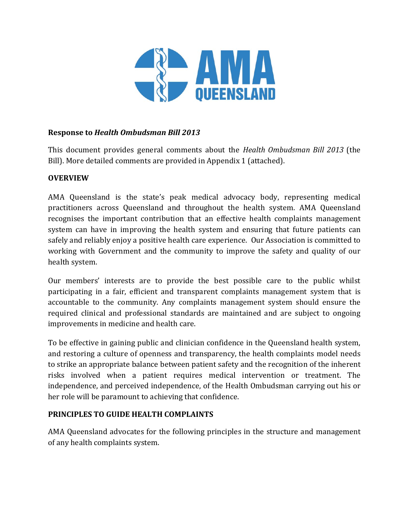

# **Response to** *Health Ombudsman Bill 2013*

This document provides general comments about the *Health Ombudsman Bill 2013* (the Bill). More detailed comments are provided in Appendix 1 (attached).

## **OVERVIEW**

AMA Queensland is the state's peak medical advocacy body, representing medical practitioners across Queensland and throughout the health system. AMA Queensland recognises the important contribution that an effective health complaints management system can have in improving the health system and ensuring that future patients can safely and reliably enjoy a positive health care experience. Our Association is committed to working with Government and the community to improve the safety and quality of our health system.

Our members' interests are to provide the best possible care to the public whilst participating in a fair, efficient and transparent complaints management system that is accountable to the community. Any complaints management system should ensure the required clinical and professional standards are maintained and are subject to ongoing improvements in medicine and health care.

To be effective in gaining public and clinician confidence in the Queensland health system, and restoring a culture of openness and transparency, the health complaints model needs to strike an appropriate balance between patient safety and the recognition of the inherent risks involved when a patient requires medical intervention or treatment. The independence, and perceived independence, of the Health Ombudsman carrying out his or her role will be paramount to achieving that confidence.

## **PRINCIPLES TO GUIDE HEALTH COMPLAINTS**

AMA Queensland advocates for the following principles in the structure and management of any health complaints system.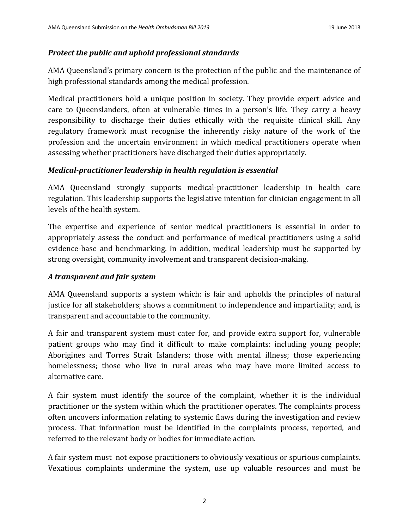## *Protect the public and uphold professional standards*

AMA Queensland's primary concern is the protection of the public and the maintenance of high professional standards among the medical profession.

Medical practitioners hold a unique position in society. They provide expert advice and care to Queenslanders, often at vulnerable times in a person's life. They carry a heavy responsibility to discharge their duties ethically with the requisite clinical skill. Any regulatory framework must recognise the inherently risky nature of the work of the profession and the uncertain environment in which medical practitioners operate when assessing whether practitioners have discharged their duties appropriately.

### *Medical-practitioner leadership in health regulation is essential*

AMA Queensland strongly supports medical-practitioner leadership in health care regulation. This leadership supports the legislative intention for clinician engagement in all levels of the health system.

The expertise and experience of senior medical practitioners is essential in order to appropriately assess the conduct and performance of medical practitioners using a solid evidence-base and benchmarking. In addition, medical leadership must be supported by strong oversight, community involvement and transparent decision-making.

## *A transparent and fair system*

AMA Queensland supports a system which: is fair and upholds the principles of natural justice for all stakeholders; shows a commitment to independence and impartiality; and, is transparent and accountable to the community.

A fair and transparent system must cater for, and provide extra support for, vulnerable patient groups who may find it difficult to make complaints: including young people; Aborigines and Torres Strait Islanders; those with mental illness; those experiencing homelessness; those who live in rural areas who may have more limited access to alternative care.

A fair system must identify the source of the complaint, whether it is the individual practitioner or the system within which the practitioner operates. The complaints process often uncovers information relating to systemic flaws during the investigation and review process. That information must be identified in the complaints process, reported, and referred to the relevant body or bodies for immediate action.

A fair system must not expose practitioners to obviously vexatious or spurious complaints. Vexatious complaints undermine the system, use up valuable resources and must be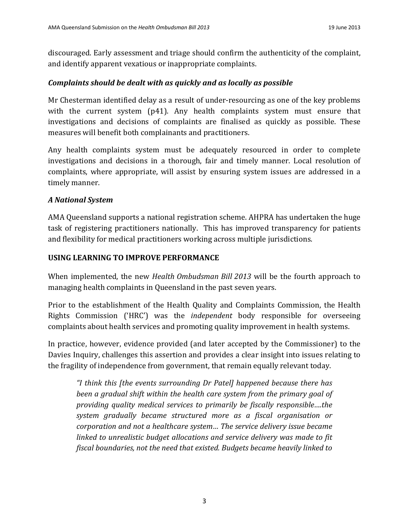discouraged. Early assessment and triage should confirm the authenticity of the complaint, and identify apparent vexatious or inappropriate complaints.

## *Complaints should be dealt with as quickly and as locally as possible*

Mr Chesterman identified delay as a result of under-resourcing as one of the key problems with the current system (p41). Any health complaints system must ensure that investigations and decisions of complaints are finalised as quickly as possible. These measures will benefit both complainants and practitioners.

Any health complaints system must be adequately resourced in order to complete investigations and decisions in a thorough, fair and timely manner. Local resolution of complaints, where appropriate, will assist by ensuring system issues are addressed in a timely manner.

## *A National System*

AMA Queensland supports a national registration scheme. AHPRA has undertaken the huge task of registering practitioners nationally. This has improved transparency for patients and flexibility for medical practitioners working across multiple jurisdictions.

## **USING LEARNING TO IMPROVE PERFORMANCE**

When implemented, the new *Health Ombudsman Bill 2013* will be the fourth approach to managing health complaints in Queensland in the past seven years.

Prior to the establishment of the Health Quality and Complaints Commission, the Health Rights Commission ('HRC') was the *independent* body responsible for overseeing complaints about health services and promoting quality improvement in health systems.

In practice, however, evidence provided (and later accepted by the Commissioner) to the Davies Inquiry, challenges this assertion and provides a clear insight into issues relating to the fragility of independence from government, that remain equally relevant today.

*"I think this [the events surrounding Dr Patel] happened because there has been a gradual shift within the health care system from the primary goal of providing quality medical services to primarily be fiscally responsible….the system gradually became structured more as a fiscal organisation or corporation and not a healthcare system… The service delivery issue became linked to unrealistic budget allocations and service delivery was made to fit fiscal boundaries, not the need that existed. Budgets became heavily linked to*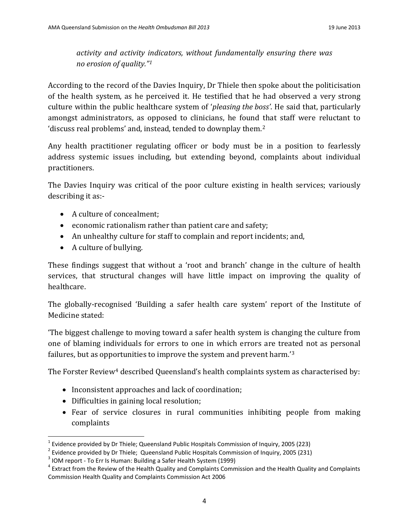# *activity and activity indicators, without fundamentally ensuring there was no erosion of quality."[1](#page-5-0)*

According to the record of the Davies Inquiry, Dr Thiele then spoke about the politicisation of the health system, as he perceived it. He testified that he had observed a very strong culture within the public healthcare system of '*pleasing the boss'*. He said that, particularly amongst administrators, as opposed to clinicians, he found that staff were reluctant to 'discuss real problems' and, instead, tended to downplay them.[2](#page-5-1)

Any health practitioner regulating officer or body must be in a position to fearlessly address systemic issues including, but extending beyond, complaints about individual practitioners.

The Davies Inquiry was critical of the poor culture existing in health services; variously describing it as:-

- A culture of concealment;
- economic rationalism rather than patient care and safety;
- An unhealthy culture for staff to complain and report incidents; and,
- A culture of bullying.

These findings suggest that without a 'root and branch' change in the culture of health services, that structural changes will have little impact on improving the quality of healthcare.

The globally-recognised 'Building a safer health care system' report of the Institute of Medicine stated:

'The biggest challenge to moving toward a safer health system is changing the culture from one of blaming individuals for errors to one in which errors are treated not as personal failures, but as opportunities to improve the system and prevent harm.'[3](#page-5-2)

The Forster Review $\rm 4$  $\rm 4$  described Queensland's health complaints system as characterised by:

- Inconsistent approaches and lack of coordination;
- Difficulties in gaining local resolution;
- Fear of service closures in rural communities inhibiting people from making complaints

<span id="page-5-1"></span>

<span id="page-5-3"></span><span id="page-5-2"></span>

<span id="page-5-0"></span><sup>&</sup>lt;sup>1</sup> Evidence provided by Dr Thiele; Queensland Public Hospitals Commission of Inquiry, 2005 (223)<br>
<sup>2</sup> Evidence provided by Dr Thiele; Queensland Public Hospitals Commission of Inquiry, 2005 (231)<br>
<sup>3</sup> IOM report - To Err Commission Health Quality and Complaints Commission Act 2006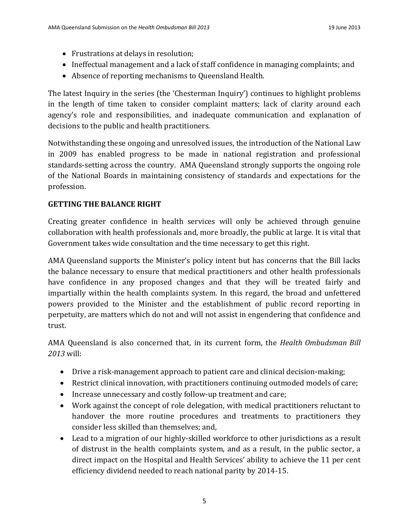- Frustrations at delays in resolution;
- Ineffectual management and a lack of staff confidence in managing complaints; and
- Absence of reporting mechanisms to Queensland Health.

The latest Inquiry in the series (the 'Chesterman Inquiry') continues to highlight problems in the length of time taken to consider complaint matters; lack of clarity around each agency's role and responsibilities, and inadequate communication and explanation of decisions to the public and health practitioners.

Notwithstanding these ongoing and unresolved issues, the introduction of the National Law in 2009 has enabled progress to be made in national registration and professional standards-setting across the country. AMA Queensland strongly supports the ongoing role of the National Boards in maintaining consistency of standards and expectations for the profession.

# **GETTING THE BALANCE RIGHT**

Creating greater confidence in health services will only be achieved through genuine collaboration with health professionals and, more broadly, the public at large. It is vital that Government takes wide consultation and the time necessary to get this right.

AMA Queensland supports the Minister's policy intent but has concerns that the Bill lacks the balance necessary to ensure that medical practitioners and other health professionals have confidence in any proposed changes and that they will be treated fairly and impartially within the health complaints system. In this regard, the broad and unfettered powers provided to the Minister and the establishment of public record reporting in perpetuity, are matters which do not and will not assist in engendering that confidence and trust.

AMA Queensland is also concerned that, in its current form, the *Health Ombudsman Bill 2013* will:

- Drive a risk-management approach to patient care and clinical decision-making;
- Restrict clinical innovation, with practitioners continuing outmoded models of care;
- Increase unnecessary and costly follow-up treatment and care;
- Work against the concept of role delegation, with medical practitioners reluctant to handover the more routine procedures and treatments to practitioners they consider less skilled than themselves; and,
- Lead to a migration of our highly-skilled workforce to other jurisdictions as a result of distrust in the health complaints system, and as a result, in the public sector, a direct impact on the Hospital and Health Services' ability to achieve the 11 per cent efficiency dividend needed to reach national parity by 2014-15.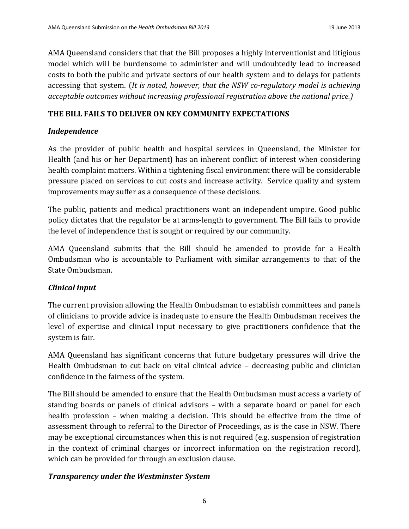AMA Queensland considers that that the Bill proposes a highly interventionist and litigious model which will be burdensome to administer and will undoubtedly lead to increased costs to both the public and private sectors of our health system and to delays for patients accessing that system. (*It is noted, however, that the NSW co-regulatory model is achieving acceptable outcomes without increasing professional registration above the national price.)*

## **THE BILL FAILS TO DELIVER ON KEY COMMUNITY EXPECTATIONS**

## *Independence*

As the provider of public health and hospital services in Queensland, the Minister for Health (and his or her Department) has an inherent conflict of interest when considering health complaint matters. Within a tightening fiscal environment there will be considerable pressure placed on services to cut costs and increase activity. Service quality and system improvements may suffer as a consequence of these decisions.

The public, patients and medical practitioners want an independent umpire. Good public policy dictates that the regulator be at arms-length to government. The Bill fails to provide the level of independence that is sought or required by our community.

AMA Queensland submits that the Bill should be amended to provide for a Health Ombudsman who is accountable to Parliament with similar arrangements to that of the State Ombudsman.

## *Clinical input*

The current provision allowing the Health Ombudsman to establish committees and panels of clinicians to provide advice is inadequate to ensure the Health Ombudsman receives the level of expertise and clinical input necessary to give practitioners confidence that the system is fair.

AMA Queensland has significant concerns that future budgetary pressures will drive the Health Ombudsman to cut back on vital clinical advice – decreasing public and clinician confidence in the fairness of the system.

The Bill should be amended to ensure that the Health Ombudsman must access a variety of standing boards or panels of clinical advisors – with a separate board or panel for each health profession – when making a decision. This should be effective from the time of assessment through to referral to the Director of Proceedings, as is the case in NSW. There may be exceptional circumstances when this is not required (e.g. suspension of registration in the context of criminal charges or incorrect information on the registration record), which can be provided for through an exclusion clause.

## *Transparency under the Westminster System*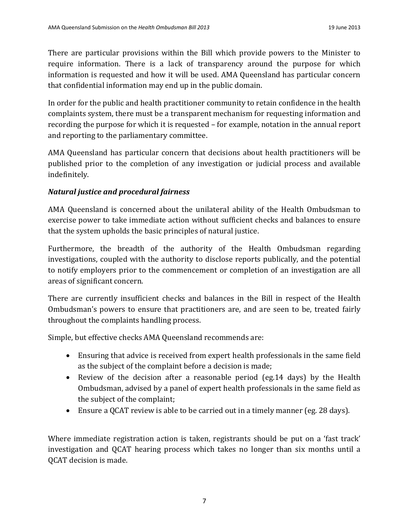There are particular provisions within the Bill which provide powers to the Minister to require information. There is a lack of transparency around the purpose for which information is requested and how it will be used. AMA Queensland has particular concern that confidential information may end up in the public domain.

In order for the public and health practitioner community to retain confidence in the health complaints system, there must be a transparent mechanism for requesting information and recording the purpose for which it is requested – for example, notation in the annual report and reporting to the parliamentary committee.

AMA Queensland has particular concern that decisions about health practitioners will be published prior to the completion of any investigation or judicial process and available indefinitely.

# *Natural justice and procedural fairness*

AMA Queensland is concerned about the unilateral ability of the Health Ombudsman to exercise power to take immediate action without sufficient checks and balances to ensure that the system upholds the basic principles of natural justice.

Furthermore, the breadth of the authority of the Health Ombudsman regarding investigations, coupled with the authority to disclose reports publically, and the potential to notify employers prior to the commencement or completion of an investigation are all areas of significant concern.

There are currently insufficient checks and balances in the Bill in respect of the Health Ombudsman's powers to ensure that practitioners are, and are seen to be, treated fairly throughout the complaints handling process.

Simple, but effective checks AMA Queensland recommends are:

- Ensuring that advice is received from expert health professionals in the same field as the subject of the complaint before a decision is made;
- Review of the decision after a reasonable period (eg.14 days) by the Health Ombudsman, advised by a panel of expert health professionals in the same field as the subject of the complaint;
- Ensure a QCAT review is able to be carried out in a timely manner (eg. 28 days).

Where immediate registration action is taken, registrants should be put on a 'fast track' investigation and QCAT hearing process which takes no longer than six months until a QCAT decision is made.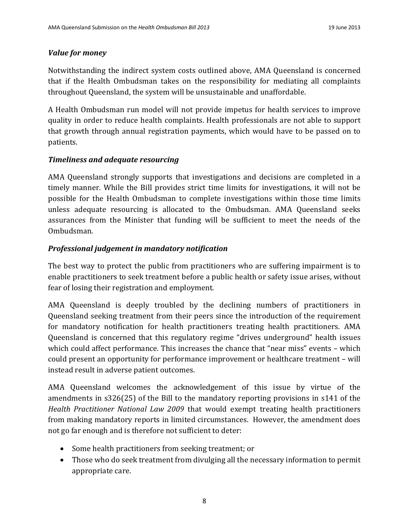## *Value for money*

Notwithstanding the indirect system costs outlined above, AMA Queensland is concerned that if the Health Ombudsman takes on the responsibility for mediating all complaints throughout Queensland, the system will be unsustainable and unaffordable.

A Health Ombudsman run model will not provide impetus for health services to improve quality in order to reduce health complaints. Health professionals are not able to support that growth through annual registration payments, which would have to be passed on to patients.

### *Timeliness and adequate resourcing*

AMA Queensland strongly supports that investigations and decisions are completed in a timely manner. While the Bill provides strict time limits for investigations, it will not be possible for the Health Ombudsman to complete investigations within those time limits unless adequate resourcing is allocated to the Ombudsman. AMA Queensland seeks assurances from the Minister that funding will be sufficient to meet the needs of the Ombudsman.

## *Professional judgement in mandatory notification*

The best way to protect the public from practitioners who are suffering impairment is to enable practitioners to seek treatment before a public health or safety issue arises, without fear of losing their registration and employment.

AMA Queensland is deeply troubled by the declining numbers of practitioners in Queensland seeking treatment from their peers since the introduction of the requirement for mandatory notification for health practitioners treating health practitioners. AMA Queensland is concerned that this regulatory regime "drives underground" health issues which could affect performance. This increases the chance that "near miss" events - which could present an opportunity for performance improvement or healthcare treatment – will instead result in adverse patient outcomes.

AMA Queensland welcomes the acknowledgement of this issue by virtue of the amendments in s326(25) of the Bill to the mandatory reporting provisions in s141 of the *Health Practitioner National Law 2009* that would exempt treating health practitioners from making mandatory reports in limited circumstances. However, the amendment does not go far enough and is therefore not sufficient to deter:

- Some health practitioners from seeking treatment; or
- Those who do seek treatment from divulging all the necessary information to permit appropriate care.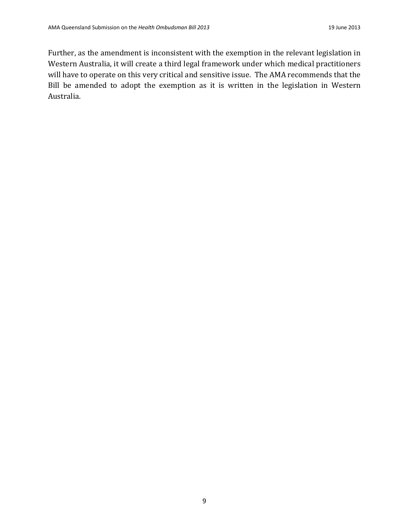Further, as the amendment is inconsistent with the exemption in the relevant legislation in Western Australia, it will create a third legal framework under which medical practitioners will have to operate on this very critical and sensitive issue. The AMA recommends that the Bill be amended to adopt the exemption as it is written in the legislation in Western Australia.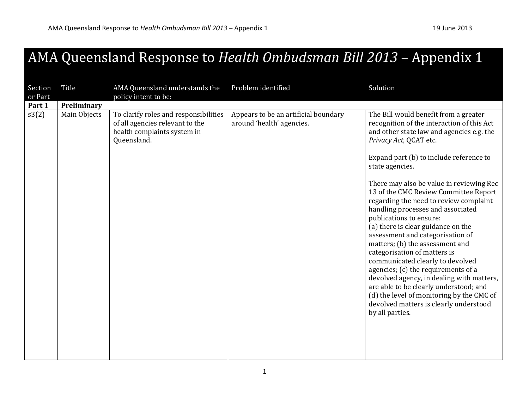# AMA Queensland Response to *Health Ombudsman Bill 2013* – Appendix 1

| Section<br>or Part | Title        | AMA Queensland understands the<br>policy intent to be:                                                                 | Problem identified                                                | Solution                                                                                                                                                                                                                                                                                                                                                                                                                                                                                                                                                                                                                                                                                                                                                                                                                                         |
|--------------------|--------------|------------------------------------------------------------------------------------------------------------------------|-------------------------------------------------------------------|--------------------------------------------------------------------------------------------------------------------------------------------------------------------------------------------------------------------------------------------------------------------------------------------------------------------------------------------------------------------------------------------------------------------------------------------------------------------------------------------------------------------------------------------------------------------------------------------------------------------------------------------------------------------------------------------------------------------------------------------------------------------------------------------------------------------------------------------------|
| Part 1             | Preliminary  |                                                                                                                        |                                                                   |                                                                                                                                                                                                                                                                                                                                                                                                                                                                                                                                                                                                                                                                                                                                                                                                                                                  |
| s3(2)              | Main Objects | To clarify roles and responsibilities<br>of all agencies relevant to the<br>health complaints system in<br>Queensland. | Appears to be an artificial boundary<br>around 'health' agencies. | The Bill would benefit from a greater<br>recognition of the interaction of this Act<br>and other state law and agencies e.g. the<br>Privacy Act, QCAT etc.<br>Expand part (b) to include reference to<br>state agencies.<br>There may also be value in reviewing Rec<br>13 of the CMC Review Committee Report<br>regarding the need to review complaint<br>handling processes and associated<br>publications to ensure:<br>(a) there is clear guidance on the<br>assessment and categorisation of<br>matters; (b) the assessment and<br>categorisation of matters is<br>communicated clearly to devolved<br>agencies; (c) the requirements of a<br>devolved agency, in dealing with matters,<br>are able to be clearly understood; and<br>(d) the level of monitoring by the CMC of<br>devolved matters is clearly understood<br>by all parties. |
|                    |              |                                                                                                                        |                                                                   |                                                                                                                                                                                                                                                                                                                                                                                                                                                                                                                                                                                                                                                                                                                                                                                                                                                  |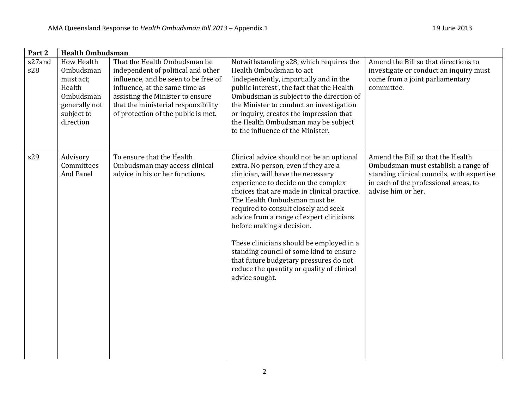| Part 2        | <b>Health Ombudsman</b>                                                                                        |                                                                                                                                                                                                                                                                |                                                                                                                                                                                                                                                                                                                                                                                                                                                                                                                                                                 |                                                                                                                                                                                       |  |
|---------------|----------------------------------------------------------------------------------------------------------------|----------------------------------------------------------------------------------------------------------------------------------------------------------------------------------------------------------------------------------------------------------------|-----------------------------------------------------------------------------------------------------------------------------------------------------------------------------------------------------------------------------------------------------------------------------------------------------------------------------------------------------------------------------------------------------------------------------------------------------------------------------------------------------------------------------------------------------------------|---------------------------------------------------------------------------------------------------------------------------------------------------------------------------------------|--|
| s27and<br>s28 | <b>How Health</b><br>Ombudsman<br>must act;<br>Health<br>Ombudsman<br>generally not<br>subject to<br>direction | That the Health Ombudsman be<br>independent of political and other<br>influence, and be seen to be free of<br>influence, at the same time as<br>assisting the Minister to ensure<br>that the ministerial responsibility<br>of protection of the public is met. | Notwithstanding s28, which requires the<br>Health Ombudsman to act<br>'independently, impartially and in the<br>public interest', the fact that the Health<br>Ombudsman is subject to the direction of<br>the Minister to conduct an investigation<br>or inquiry, creates the impression that<br>the Health Ombudsman may be subject<br>to the influence of the Minister.                                                                                                                                                                                       | Amend the Bill so that directions to<br>investigate or conduct an inquiry must<br>come from a joint parliamentary<br>committee.                                                       |  |
| s29           | Advisory<br>Committees<br>And Panel                                                                            | To ensure that the Health<br>Ombudsman may access clinical<br>advice in his or her functions.                                                                                                                                                                  | Clinical advice should not be an optional<br>extra. No person, even if they are a<br>clinician, will have the necessary<br>experience to decide on the complex<br>choices that are made in clinical practice.<br>The Health Ombudsman must be<br>required to consult closely and seek<br>advice from a range of expert clinicians<br>before making a decision.<br>These clinicians should be employed in a<br>standing council of some kind to ensure<br>that future budgetary pressures do not<br>reduce the quantity or quality of clinical<br>advice sought. | Amend the Bill so that the Health<br>Ombudsman must establish a range of<br>standing clinical councils, with expertise<br>in each of the professional areas, to<br>advise him or her. |  |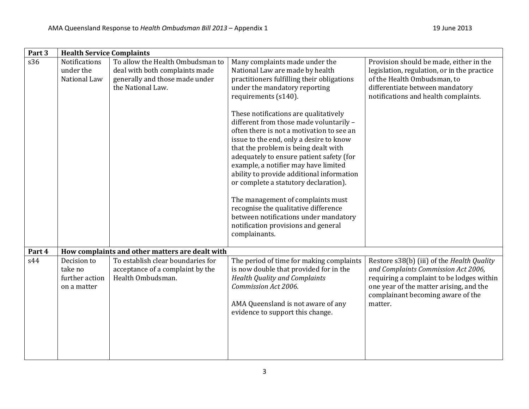| Part 3 | <b>Health Service Complaints</b>                        |                                                                                                                           |                                                                                                                                                                                                                                                                                                                                                                                                                                                                                                                                                                                                                                                                                                                                                      |                                                                                                                                                                                                                           |
|--------|---------------------------------------------------------|---------------------------------------------------------------------------------------------------------------------------|------------------------------------------------------------------------------------------------------------------------------------------------------------------------------------------------------------------------------------------------------------------------------------------------------------------------------------------------------------------------------------------------------------------------------------------------------------------------------------------------------------------------------------------------------------------------------------------------------------------------------------------------------------------------------------------------------------------------------------------------------|---------------------------------------------------------------------------------------------------------------------------------------------------------------------------------------------------------------------------|
| s36    | <b>Notifications</b><br>under the<br>National Law       | To allow the Health Ombudsman to<br>deal with both complaints made<br>generally and those made under<br>the National Law. | Many complaints made under the<br>National Law are made by health<br>practitioners fulfilling their obligations<br>under the mandatory reporting<br>requirements (s140).<br>These notifications are qualitatively<br>different from those made voluntarily -<br>often there is not a motivation to see an<br>issue to the end, only a desire to know<br>that the problem is being dealt with<br>adequately to ensure patient safety (for<br>example, a notifier may have limited<br>ability to provide additional information<br>or complete a statutory declaration).<br>The management of complaints must<br>recognise the qualitative difference<br>between notifications under mandatory<br>notification provisions and general<br>complainants. | Provision should be made, either in the<br>legislation, regulation, or in the practice<br>of the Health Ombudsman, to<br>differentiate between mandatory<br>notifications and health complaints.                          |
| Part 4 |                                                         | How complaints and other matters are dealt with                                                                           |                                                                                                                                                                                                                                                                                                                                                                                                                                                                                                                                                                                                                                                                                                                                                      |                                                                                                                                                                                                                           |
| s44    | Decision to<br>take no<br>further action<br>on a matter | To establish clear boundaries for<br>acceptance of a complaint by the<br>Health Ombudsman.                                | The period of time for making complaints<br>is now double that provided for in the<br><b>Health Quality and Complaints</b><br>Commission Act 2006.<br>AMA Queensland is not aware of any<br>evidence to support this change.                                                                                                                                                                                                                                                                                                                                                                                                                                                                                                                         | Restore s38(b) (iii) of the Health Quality<br>and Complaints Commission Act 2006,<br>requiring a complaint to be lodges within<br>one year of the matter arising, and the<br>complainant becoming aware of the<br>matter. |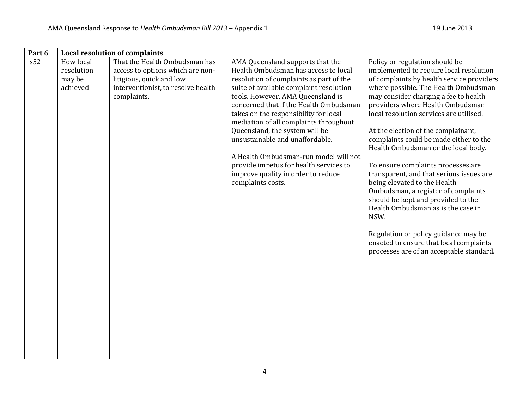| s52<br>That the Health Ombudsman has<br>AMA Queensland supports that the<br>Policy or regulation should be<br>How local<br>Health Ombudsman has access to local<br>resolution<br>access to options which are non-<br>implemented to require local resolution<br>resolution of complaints as part of the<br>of complaints by health service providers<br>may be<br>litigious, quick and low<br>interventionist, to resolve health<br>suite of available complaint resolution<br>achieved<br>where possible. The Health Ombudsman<br>complaints.<br>tools. However, AMA Queensland is<br>may consider charging a fee to health<br>concerned that if the Health Ombudsman<br>providers where Health Ombudsman<br>local resolution services are utilised.<br>takes on the responsibility for local<br>mediation of all complaints throughout<br>Queensland, the system will be<br>At the election of the complainant,<br>unsustainable and unaffordable.<br>complaints could be made either to the<br>Health Ombudsman or the local body.<br>A Health Ombudsman-run model will not<br>provide impetus for health services to<br>To ensure complaints processes are<br>improve quality in order to reduce<br>transparent, and that serious issues are<br>being elevated to the Health<br>complaints costs.<br>Ombudsman, a register of complaints<br>should be kept and provided to the<br>Health Ombudsman as is the case in<br>NSW.<br>Regulation or policy guidance may be<br>enacted to ensure that local complaints<br>processes are of an acceptable standard. | Part 6 | <b>Local resolution of complaints</b> |  |
|-----------------------------------------------------------------------------------------------------------------------------------------------------------------------------------------------------------------------------------------------------------------------------------------------------------------------------------------------------------------------------------------------------------------------------------------------------------------------------------------------------------------------------------------------------------------------------------------------------------------------------------------------------------------------------------------------------------------------------------------------------------------------------------------------------------------------------------------------------------------------------------------------------------------------------------------------------------------------------------------------------------------------------------------------------------------------------------------------------------------------------------------------------------------------------------------------------------------------------------------------------------------------------------------------------------------------------------------------------------------------------------------------------------------------------------------------------------------------------------------------------------------------------------------------------------------|--------|---------------------------------------|--|
|                                                                                                                                                                                                                                                                                                                                                                                                                                                                                                                                                                                                                                                                                                                                                                                                                                                                                                                                                                                                                                                                                                                                                                                                                                                                                                                                                                                                                                                                                                                                                                 |        |                                       |  |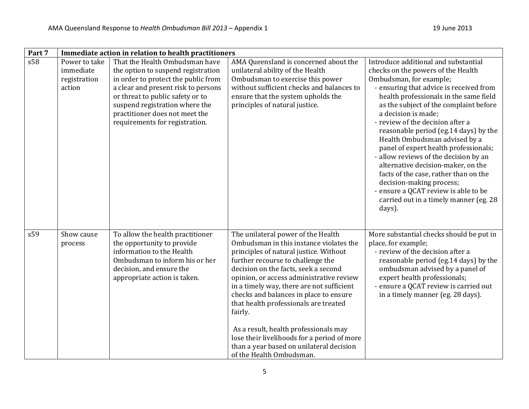| Part 7 | Immediate action in relation to health practitioners |                                                                                                                                                                                                                                                                                              |                                                                                                                                                                                                                                                                                                                                                                                                                                                                                                                                                             |                                                                                                                                                                                                                                                                                                                                                                                                                                                                                                                                                                                                                                                                    |
|--------|------------------------------------------------------|----------------------------------------------------------------------------------------------------------------------------------------------------------------------------------------------------------------------------------------------------------------------------------------------|-------------------------------------------------------------------------------------------------------------------------------------------------------------------------------------------------------------------------------------------------------------------------------------------------------------------------------------------------------------------------------------------------------------------------------------------------------------------------------------------------------------------------------------------------------------|--------------------------------------------------------------------------------------------------------------------------------------------------------------------------------------------------------------------------------------------------------------------------------------------------------------------------------------------------------------------------------------------------------------------------------------------------------------------------------------------------------------------------------------------------------------------------------------------------------------------------------------------------------------------|
| s58    | Power to take<br>immediate<br>registration<br>action | That the Health Ombudsman have<br>the option to suspend registration<br>in order to protect the public from<br>a clear and present risk to persons<br>or threat to public safety or to<br>suspend registration where the<br>practitioner does not meet the<br>requirements for registration. | AMA Queensland is concerned about the<br>unilateral ability of the Health<br>Ombudsman to exercise this power<br>without sufficient checks and balances to<br>ensure that the system upholds the<br>principles of natural justice.                                                                                                                                                                                                                                                                                                                          | Introduce additional and substantial<br>checks on the powers of the Health<br>Ombudsman, for example;<br>- ensuring that advice is received from<br>health professionals in the same field<br>as the subject of the complaint before<br>a decision is made;<br>- review of the decision after a<br>reasonable period (eg.14 days) by the<br>Health Ombudsman advised by a<br>panel of expert health professionals;<br>- allow reviews of the decision by an<br>alternative decision-maker, on the<br>facts of the case, rather than on the<br>decision-making process;<br>- ensure a QCAT review is able to be<br>carried out in a timely manner (eg. 28<br>days). |
| s59    | Show cause<br>process                                | To allow the health practitioner<br>the opportunity to provide<br>information to the Health<br>Ombudsman to inform his or her<br>decision, and ensure the<br>appropriate action is taken.                                                                                                    | The unilateral power of the Health<br>Ombudsman in this instance violates the<br>principles of natural justice. Without<br>further recourse to challenge the<br>decision on the facts, seek a second<br>opinion, or access administrative review<br>in a timely way, there are not sufficient<br>checks and balances in place to ensure<br>that health professionals are treated<br>fairly.<br>As a result, health professionals may<br>lose their livelihoods for a period of more<br>than a year based on unilateral decision<br>of the Health Ombudsman. | More substantial checks should be put in<br>place, for example;<br>- review of the decision after a<br>reasonable period (eg.14 days) by the<br>ombudsman advised by a panel of<br>expert health professionals;<br>- ensure a QCAT review is carried out<br>in a timely manner (eg. 28 days).                                                                                                                                                                                                                                                                                                                                                                      |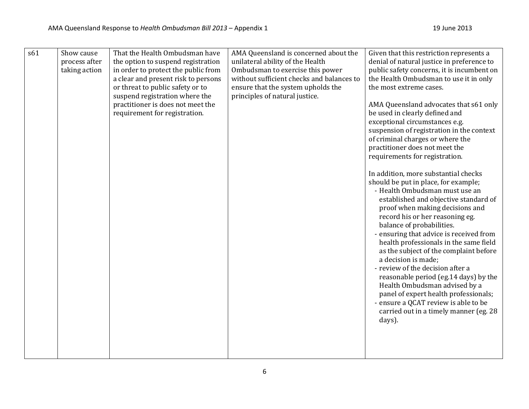| s61 | Show cause    | That the Health Ombudsman have      | AMA Queensland is concerned about the     | Given that this restriction represents a                                         |
|-----|---------------|-------------------------------------|-------------------------------------------|----------------------------------------------------------------------------------|
|     | process after | the option to suspend registration  | unilateral ability of the Health          | denial of natural justice in preference to                                       |
|     | taking action | in order to protect the public from | Ombudsman to exercise this power          | public safety concerns, it is incumbent on                                       |
|     |               | a clear and present risk to persons | without sufficient checks and balances to | the Health Ombudsman to use it in only                                           |
|     |               | or threat to public safety or to    | ensure that the system upholds the        | the most extreme cases.                                                          |
|     |               | suspend registration where the      | principles of natural justice.            |                                                                                  |
|     |               | practitioner is does not meet the   |                                           | AMA Queensland advocates that s61 only                                           |
|     |               | requirement for registration.       |                                           | be used in clearly defined and                                                   |
|     |               |                                     |                                           | exceptional circumstances e.g.                                                   |
|     |               |                                     |                                           | suspension of registration in the context                                        |
|     |               |                                     |                                           | of criminal charges or where the                                                 |
|     |               |                                     |                                           | practitioner does not meet the                                                   |
|     |               |                                     |                                           | requirements for registration.                                                   |
|     |               |                                     |                                           |                                                                                  |
|     |               |                                     |                                           | In addition, more substantial checks                                             |
|     |               |                                     |                                           | should be put in place, for example;                                             |
|     |               |                                     |                                           | - Health Ombudsman must use an                                                   |
|     |               |                                     |                                           | established and objective standard of                                            |
|     |               |                                     |                                           | proof when making decisions and                                                  |
|     |               |                                     |                                           | record his or her reasoning eg.                                                  |
|     |               |                                     |                                           | balance of probabilities.                                                        |
|     |               |                                     |                                           | - ensuring that advice is received from                                          |
|     |               |                                     |                                           | health professionals in the same field<br>as the subject of the complaint before |
|     |               |                                     |                                           | a decision is made;                                                              |
|     |               |                                     |                                           | - review of the decision after a                                                 |
|     |               |                                     |                                           | reasonable period (eg.14 days) by the                                            |
|     |               |                                     |                                           | Health Ombudsman advised by a                                                    |
|     |               |                                     |                                           | panel of expert health professionals;                                            |
|     |               |                                     |                                           | - ensure a QCAT review is able to be                                             |
|     |               |                                     |                                           | carried out in a timely manner (eg. 28                                           |
|     |               |                                     |                                           | days).                                                                           |
|     |               |                                     |                                           |                                                                                  |
|     |               |                                     |                                           |                                                                                  |
|     |               |                                     |                                           |                                                                                  |
|     |               |                                     |                                           |                                                                                  |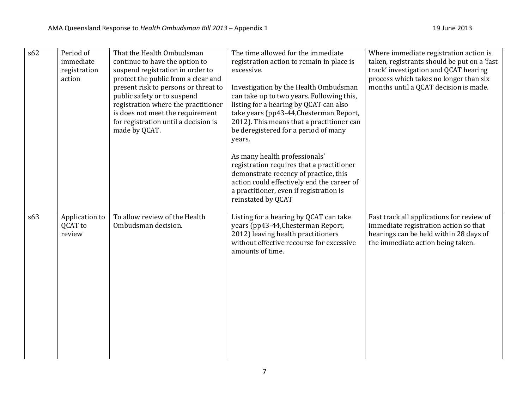| s62 | Period of<br>immediate<br>registration<br>action | That the Health Ombudsman<br>continue to have the option to<br>suspend registration in order to<br>protect the public from a clear and<br>present risk to persons or threat to<br>public safety or to suspend<br>registration where the practitioner<br>is does not meet the requirement<br>for registration until a decision is<br>made by QCAT. | The time allowed for the immediate<br>registration action to remain in place is<br>excessive.<br>Investigation by the Health Ombudsman<br>can take up to two years. Following this,<br>listing for a hearing by QCAT can also<br>take years (pp43-44, Chesterman Report,<br>2012). This means that a practitioner can<br>be deregistered for a period of many<br>years. | Where immediate registration action is<br>taken, registrants should be put on a 'fast<br>track' investigation and QCAT hearing<br>process which takes no longer than six<br>months until a QCAT decision is made. |
|-----|--------------------------------------------------|---------------------------------------------------------------------------------------------------------------------------------------------------------------------------------------------------------------------------------------------------------------------------------------------------------------------------------------------------|-------------------------------------------------------------------------------------------------------------------------------------------------------------------------------------------------------------------------------------------------------------------------------------------------------------------------------------------------------------------------|-------------------------------------------------------------------------------------------------------------------------------------------------------------------------------------------------------------------|
|     |                                                  |                                                                                                                                                                                                                                                                                                                                                   | As many health professionals'<br>registration requires that a practitioner<br>demonstrate recency of practice, this<br>action could effectively end the career of<br>a practitioner, even if registration is<br>reinstated by QCAT                                                                                                                                      |                                                                                                                                                                                                                   |
| s63 | Application to<br>QCAT to<br>review              | To allow review of the Health<br>Ombudsman decision.                                                                                                                                                                                                                                                                                              | Listing for a hearing by QCAT can take<br>years (pp43-44, Chesterman Report,<br>2012) leaving health practitioners<br>without effective recourse for excessive<br>amounts of time.                                                                                                                                                                                      | Fast track all applications for review of<br>immediate registration action so that<br>hearings can be held within 28 days of<br>the immediate action being taken.                                                 |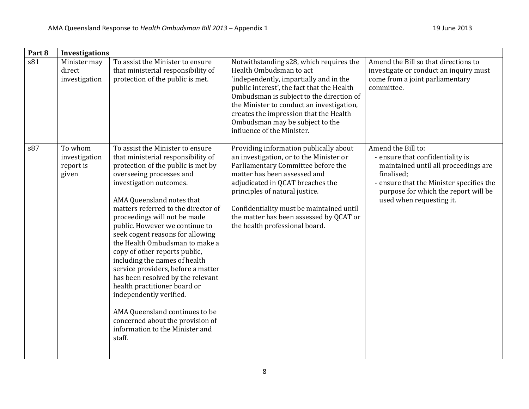| Part 8 | Investigations                                 |                                                                                                                                                                                                                                                                                                                                                                                                                                                                                                                                                                                                                                                                                                            |                                                                                                                                                                                                                                                                                                                                                                |                                                                                                                                                                                                                              |
|--------|------------------------------------------------|------------------------------------------------------------------------------------------------------------------------------------------------------------------------------------------------------------------------------------------------------------------------------------------------------------------------------------------------------------------------------------------------------------------------------------------------------------------------------------------------------------------------------------------------------------------------------------------------------------------------------------------------------------------------------------------------------------|----------------------------------------------------------------------------------------------------------------------------------------------------------------------------------------------------------------------------------------------------------------------------------------------------------------------------------------------------------------|------------------------------------------------------------------------------------------------------------------------------------------------------------------------------------------------------------------------------|
| s81    | Minister may<br>direct<br>investigation        | To assist the Minister to ensure<br>that ministerial responsibility of<br>protection of the public is met.                                                                                                                                                                                                                                                                                                                                                                                                                                                                                                                                                                                                 | Notwithstanding s28, which requires the<br>Health Ombudsman to act<br>'independently, impartially and in the<br>public interest', the fact that the Health<br>Ombudsman is subject to the direction of<br>the Minister to conduct an investigation,<br>creates the impression that the Health<br>Ombudsman may be subject to the<br>influence of the Minister. | Amend the Bill so that directions to<br>investigate or conduct an inquiry must<br>come from a joint parliamentary<br>committee.                                                                                              |
| s87    | To whom<br>investigation<br>report is<br>given | To assist the Minister to ensure<br>that ministerial responsibility of<br>protection of the public is met by<br>overseeing processes and<br>investigation outcomes.<br>AMA Queensland notes that<br>matters referred to the director of<br>proceedings will not be made<br>public. However we continue to<br>seek cogent reasons for allowing<br>the Health Ombudsman to make a<br>copy of other reports public,<br>including the names of health<br>service providers, before a matter<br>has been resolved by the relevant<br>health practitioner board or<br>independently verified.<br>AMA Queensland continues to be<br>concerned about the provision of<br>information to the Minister and<br>staff. | Providing information publically about<br>an investigation, or to the Minister or<br>Parliamentary Committee before the<br>matter has been assessed and<br>adjudicated in QCAT breaches the<br>principles of natural justice.<br>Confidentiality must be maintained until<br>the matter has been assessed by QCAT or<br>the health professional board.         | Amend the Bill to:<br>- ensure that confidentiality is<br>maintained until all proceedings are<br>finalised;<br>- ensure that the Minister specifies the<br>purpose for which the report will be<br>used when requesting it. |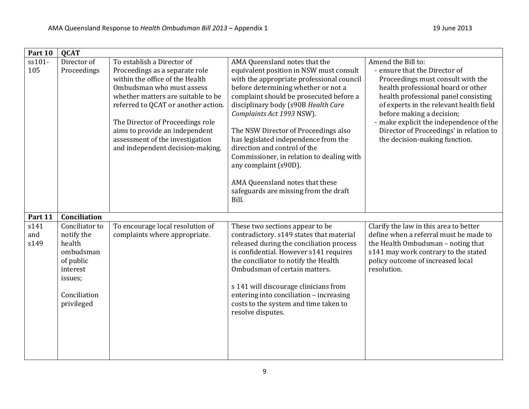| Part 10             | <b>QCAT</b>                                                                                                           |                                                                                                                                                                                                                                                                                                                                                        |                                                                                                                                                                                                                                                                                                                                                                                                                                                                                                                                                        |                                                                                                                                                                                                                                                                                                                                                                       |
|---------------------|-----------------------------------------------------------------------------------------------------------------------|--------------------------------------------------------------------------------------------------------------------------------------------------------------------------------------------------------------------------------------------------------------------------------------------------------------------------------------------------------|--------------------------------------------------------------------------------------------------------------------------------------------------------------------------------------------------------------------------------------------------------------------------------------------------------------------------------------------------------------------------------------------------------------------------------------------------------------------------------------------------------------------------------------------------------|-----------------------------------------------------------------------------------------------------------------------------------------------------------------------------------------------------------------------------------------------------------------------------------------------------------------------------------------------------------------------|
| ss101-<br>105       | Director of<br>Proceedings                                                                                            | To establish a Director of<br>Proceedings as a separate role<br>within the office of the Health<br>Ombudsman who must assess<br>whether matters are suitable to be<br>referred to QCAT or another action.<br>The Director of Proceedings role<br>aims to provide an independent<br>assessment of the investigation<br>and independent decision-making. | AMA Queensland notes that the<br>equivalent position in NSW must consult<br>with the appropriate professional council<br>before determining whether or not a<br>complaint should be prosecuted before a<br>disciplinary body (s90B Health Care<br>Complaints Act 1993 NSW).<br>The NSW Director of Proceedings also<br>has legislated independence from the<br>direction and control of the<br>Commissioner, in relation to dealing with<br>any complaint (s90D).<br>AMA Queensland notes that these<br>safeguards are missing from the draft<br>Bill. | Amend the Bill to:<br>- ensure that the Director of<br>Proceedings must consult with the<br>health professional board or other<br>health professional panel consisting<br>of experts in the relevant health field<br>before making a decision;<br>- make explicit the independence of the<br>Director of Proceedings' in relation to<br>the decision-making function. |
| Part 11             | Conciliation                                                                                                          |                                                                                                                                                                                                                                                                                                                                                        |                                                                                                                                                                                                                                                                                                                                                                                                                                                                                                                                                        |                                                                                                                                                                                                                                                                                                                                                                       |
| s141<br>and<br>s149 | Conciliator to<br>notify the<br>health<br>ombudsman<br>of public<br>interest<br>issues;<br>Conciliation<br>privileged | To encourage local resolution of<br>complaints where appropriate.                                                                                                                                                                                                                                                                                      | These two sections appear to be<br>contradictory. s149 states that material<br>released during the conciliation process<br>is confidential. However s141 requires<br>the conciliator to notify the Health<br>Ombudsman of certain matters.<br>s 141 will discourage clinicians from<br>entering into conciliation - increasing<br>costs to the system and time taken to<br>resolve disputes.                                                                                                                                                           | Clarify the law in this area to better<br>define when a referral must be made to<br>the Health Ombudsman - noting that<br>s141 may work contrary to the stated<br>policy outcome of increased local<br>resolution.                                                                                                                                                    |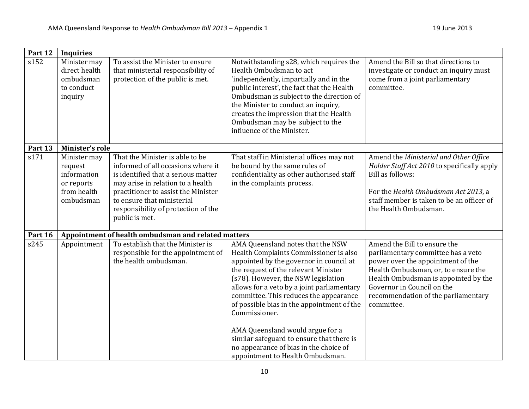| Part 12 | <b>Inquiries</b>                                                                 |                                                                                                                                                                                                                                                                                 |                                                                                                                                                                                                                                                                                                                                                                                                                                                                                                                             |                                                                                                                                                                                                                                                                           |
|---------|----------------------------------------------------------------------------------|---------------------------------------------------------------------------------------------------------------------------------------------------------------------------------------------------------------------------------------------------------------------------------|-----------------------------------------------------------------------------------------------------------------------------------------------------------------------------------------------------------------------------------------------------------------------------------------------------------------------------------------------------------------------------------------------------------------------------------------------------------------------------------------------------------------------------|---------------------------------------------------------------------------------------------------------------------------------------------------------------------------------------------------------------------------------------------------------------------------|
| s152    | Minister may<br>direct health<br>ombudsman<br>to conduct<br>inquiry              | To assist the Minister to ensure<br>that ministerial responsibility of<br>protection of the public is met.                                                                                                                                                                      | Notwithstanding s28, which requires the<br>Health Ombudsman to act<br>'independently, impartially and in the<br>public interest', the fact that the Health<br>Ombudsman is subject to the direction of<br>the Minister to conduct an inquiry,<br>creates the impression that the Health<br>Ombudsman may be subject to the<br>influence of the Minister.                                                                                                                                                                    | Amend the Bill so that directions to<br>investigate or conduct an inquiry must<br>come from a joint parliamentary<br>committee.                                                                                                                                           |
| Part 13 | Minister's role                                                                  |                                                                                                                                                                                                                                                                                 |                                                                                                                                                                                                                                                                                                                                                                                                                                                                                                                             |                                                                                                                                                                                                                                                                           |
| s171    | Minister may<br>request<br>information<br>or reports<br>from health<br>ombudsman | That the Minister is able to be<br>informed of all occasions where it<br>is identified that a serious matter<br>may arise in relation to a health<br>practitioner to assist the Minister<br>to ensure that ministerial<br>responsibility of protection of the<br>public is met. | That staff in Ministerial offices may not<br>be bound by the same rules of<br>confidentiality as other authorised staff<br>in the complaints process.                                                                                                                                                                                                                                                                                                                                                                       | Amend the Ministerial and Other Office<br>Holder Staff Act 2010 to specifically apply<br>Bill as follows:<br>For the Health Ombudsman Act 2013, a<br>staff member is taken to be an officer of<br>the Health Ombudsman.                                                   |
| Part 16 |                                                                                  | Appointment of health ombudsman and related matters                                                                                                                                                                                                                             |                                                                                                                                                                                                                                                                                                                                                                                                                                                                                                                             |                                                                                                                                                                                                                                                                           |
| s245    | Appointment                                                                      | To establish that the Minister is<br>responsible for the appointment of<br>the health ombudsman.                                                                                                                                                                                | AMA Queensland notes that the NSW<br>Health Complaints Commissioner is also<br>appointed by the governor in council at<br>the request of the relevant Minister<br>(s78). However, the NSW legislation<br>allows for a veto by a joint parliamentary<br>committee. This reduces the appearance<br>of possible bias in the appointment of the<br>Commissioner.<br>AMA Queensland would argue for a<br>similar safeguard to ensure that there is<br>no appearance of bias in the choice of<br>appointment to Health Ombudsman. | Amend the Bill to ensure the<br>parliamentary committee has a veto<br>power over the appointment of the<br>Health Ombudsman, or, to ensure the<br>Health Ombudsman is appointed by the<br>Governor in Council on the<br>recommendation of the parliamentary<br>committee. |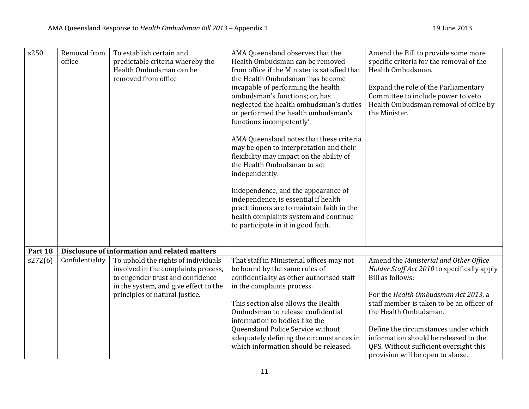| s250    | Removal from<br>office | To establish certain and<br>predictable criteria whereby the<br>Health Ombudsman can be<br>removed from office                                                                            | AMA Queensland observes that the<br>Health Ombudsman can be removed<br>from office if the Minister is satisfied that<br>the Health Ombudsman 'has become<br>incapable of performing the health<br>ombudsman's functions; or, has<br>neglected the health ombudsman's duties<br>or performed the health ombudsman's<br>functions incompetently'.<br>AMA Queensland notes that these criteria<br>may be open to interpretation and their<br>flexibility may impact on the ability of<br>the Health Ombudsman to act<br>independently.<br>Independence, and the appearance of<br>independence, is essential if health<br>practitioners are to maintain faith in the<br>health complaints system and continue<br>to participate in it in good faith. | Amend the Bill to provide some more<br>specific criteria for the removal of the<br>Health Ombudsman.<br>Expand the role of the Parliamentary<br>Committee to include power to veto<br>Health Ombudsman removal of office by<br>the Minister. |
|---------|------------------------|-------------------------------------------------------------------------------------------------------------------------------------------------------------------------------------------|--------------------------------------------------------------------------------------------------------------------------------------------------------------------------------------------------------------------------------------------------------------------------------------------------------------------------------------------------------------------------------------------------------------------------------------------------------------------------------------------------------------------------------------------------------------------------------------------------------------------------------------------------------------------------------------------------------------------------------------------------|----------------------------------------------------------------------------------------------------------------------------------------------------------------------------------------------------------------------------------------------|
| Part 18 |                        | Disclosure of information and related matters                                                                                                                                             |                                                                                                                                                                                                                                                                                                                                                                                                                                                                                                                                                                                                                                                                                                                                                  |                                                                                                                                                                                                                                              |
| s272(6) | Confidentiality        | To uphold the rights of individuals<br>involved in the complaints process,<br>to engender trust and confidence<br>in the system, and give effect to the<br>principles of natural justice. | That staff in Ministerial offices may not<br>be bound by the same rules of<br>confidentiality as other authorised staff<br>in the complaints process.                                                                                                                                                                                                                                                                                                                                                                                                                                                                                                                                                                                            | Amend the Ministerial and Other Office<br>Holder Staff Act 2010 to specifically apply<br>Bill as follows:<br>For the Health Ombudsman Act 2013, a                                                                                            |
|         |                        |                                                                                                                                                                                           | This section also allows the Health<br>Ombudsman to release confidential<br>information to bodies like the<br>Queensland Police Service without<br>adequately defining the circumstances in<br>which information should be released.                                                                                                                                                                                                                                                                                                                                                                                                                                                                                                             | staff member is taken to be an officer of<br>the Health Ombudsman.<br>Define the circumstances under which<br>information should be released to the<br>QPS. Without sufficient oversight this<br>provision will be open to abuse.            |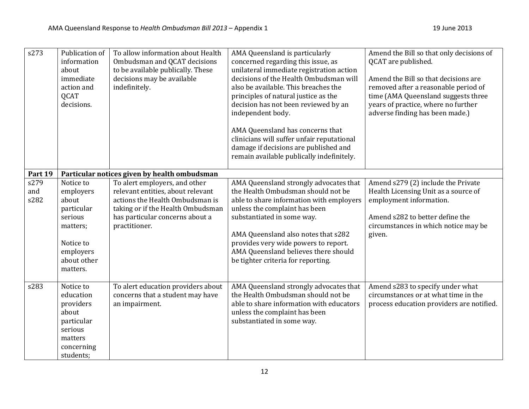| s273                | Publication of<br>information<br>about<br>immediate<br>action and<br><b>QCAT</b><br>decisions.                            | To allow information about Health<br>Ombudsman and QCAT decisions<br>to be available publically. These<br>decisions may be available<br>indefinitely.                                          | AMA Queensland is particularly<br>concerned regarding this issue, as<br>unilateral immediate registration action<br>decisions of the Health Ombudsman will<br>also be available. This breaches the<br>principles of natural justice as the<br>decision has not been reviewed by an<br>independent body.<br>AMA Queensland has concerns that<br>clinicians will suffer unfair reputational<br>damage if decisions are published and<br>remain available publically indefinitely. | Amend the Bill so that only decisions of<br>QCAT are published.<br>Amend the Bill so that decisions are<br>removed after a reasonable period of<br>time (AMA Queensland suggests three<br>years of practice, where no further<br>adverse finding has been made.) |
|---------------------|---------------------------------------------------------------------------------------------------------------------------|------------------------------------------------------------------------------------------------------------------------------------------------------------------------------------------------|---------------------------------------------------------------------------------------------------------------------------------------------------------------------------------------------------------------------------------------------------------------------------------------------------------------------------------------------------------------------------------------------------------------------------------------------------------------------------------|------------------------------------------------------------------------------------------------------------------------------------------------------------------------------------------------------------------------------------------------------------------|
| Part 19             |                                                                                                                           | Particular notices given by health ombudsman                                                                                                                                                   |                                                                                                                                                                                                                                                                                                                                                                                                                                                                                 |                                                                                                                                                                                                                                                                  |
| s279<br>and<br>s282 | Notice to<br>employers<br>about<br>particular<br>serious<br>matters;<br>Notice to<br>employers<br>about other<br>matters. | To alert employers, and other<br>relevant entities, about relevant<br>actions the Health Ombudsman is<br>taking or if the Health Ombudsman<br>has particular concerns about a<br>practitioner. | AMA Queensland strongly advocates that<br>the Health Ombudsman should not be<br>able to share information with employers<br>unless the complaint has been<br>substantiated in some way.<br>AMA Queensland also notes that s282<br>provides very wide powers to report.<br>AMA Queensland believes there should<br>be tighter criteria for reporting.                                                                                                                            | Amend s279 (2) include the Private<br>Health Licensing Unit as a source of<br>employment information.<br>Amend s282 to better define the<br>circumstances in which notice may be<br>given.                                                                       |
| s283                | Notice to<br>education<br>providers<br>about<br>particular<br>serious<br>matters<br>concerning<br>students;               | To alert education providers about<br>concerns that a student may have<br>an impairment.                                                                                                       | AMA Queensland strongly advocates that<br>the Health Ombudsman should not be<br>able to share information with educators<br>unless the complaint has been<br>substantiated in some way.                                                                                                                                                                                                                                                                                         | Amend s283 to specify under what<br>circumstances or at what time in the<br>process education providers are notified.                                                                                                                                            |